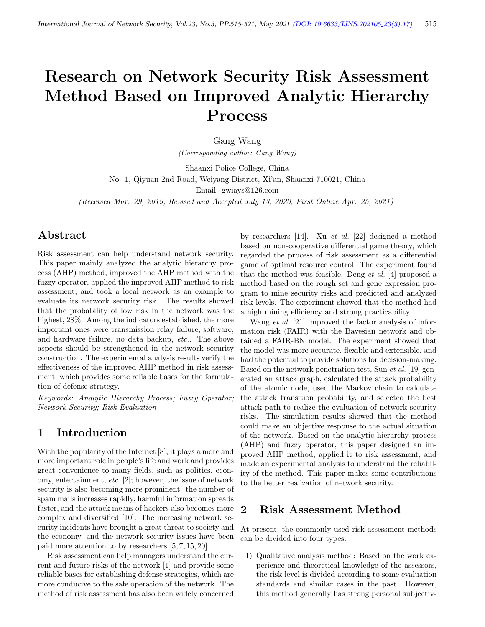# Research on Network Security Risk Assessment Method Based on Improved Analytic Hierarchy Process

Gang Wang

(Corresponding author: Gang Wang)

Shaanxi Police College, China

No. 1, Qiyuan 2nd Road, Weiyang District, Xi'an, Shaanxi 710021, China

Email: gwiays@126.com

(Received Mar. 29, 2019; Revised and Accepted July 13, 2020; First Online Apr. 25, 2021)

## Abstract

Risk assessment can help understand network security. This paper mainly analyzed the analytic hierarchy process (AHP) method, improved the AHP method with the fuzzy operator, applied the improved AHP method to risk assessment, and took a local network as an example to evaluate its network security risk. The results showed that the probability of low risk in the network was the highest,  $28\%$ . Among the indicators established, the more important ones were transmission relay failure, software, and hardware failure, no data backup, etc.. The above aspects should be strengthened in the network security construction. The experimental analysis results verify the effectiveness of the improved AHP method in risk assessment, which provides some reliable bases for the formulation of defense strategy.

Keywords: Analytic Hierarchy Process; Fuzzy Operator; Network Security; Risk Evaluation

## 1 Introduction

With the popularity of the Internet [8], it plays a more and more important role in people's life and work and provides great convenience to many fields, such as politics, economy, entertainment, etc. [2]; however, the issue of network security is also becoming more prominent: the number of spam mails increases rapidly, harmful information spreads faster, and the attack means of hackers also becomes more complex and diversified [10]. The increasing network security incidents have brought a great threat to society and the economy, and the network security issues have been paid more attention to by researchers [5, 7, 15, 20].

Risk assessment can help managers understand the current and future risks of the network [1] and provide some reliable bases for establishing defense strategies, which are more conducive to the safe operation of the network. The method of risk assessment has also been widely concerned

by researchers [14]. Xu et al. [22] designed a method based on non-cooperative differential game theory, which regarded the process of risk assessment as a differential game of optimal resource control. The experiment found that the method was feasible. Deng et al. [4] proposed a method based on the rough set and gene expression program to mine security risks and predicted and analyzed risk levels. The experiment showed that the method had a high mining efficiency and strong practicability.

Wang *et al.* [21] improved the factor analysis of information risk (FAIR) with the Bayesian network and obtained a FAIR-BN model. The experiment showed that the model was more accurate, flexible and extensible, and had the potential to provide solutions for decision-making. Based on the network penetration test, Sun et al. [19] generated an attack graph, calculated the attack probability of the atomic node, used the Markov chain to calculate the attack transition probability, and selected the best attack path to realize the evaluation of network security risks. The simulation results showed that the method could make an objective response to the actual situation of the network. Based on the analytic hierarchy process (AHP) and fuzzy operator, this paper designed an improved AHP method, applied it to risk assessment, and made an experimental analysis to understand the reliability of the method. This paper makes some contributions to the better realization of network security.

### 2 Risk Assessment Method

At present, the commonly used risk assessment methods can be divided into four types.

1) Qualitative analysis method: Based on the work experience and theoretical knowledge of the assessors, the risk level is divided according to some evaluation standards and similar cases in the past. However, this method generally has strong personal subjectiv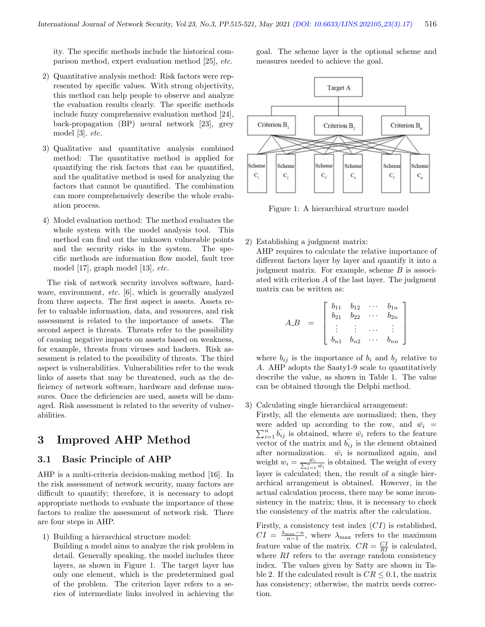ity. The specific methods include the historical comparison method, expert evaluation method [25], etc.

- 2) Quantitative analysis method: Risk factors were represented by specific values. With strong objectivity, this method can help people to observe and analyze the evaluation results clearly. The specific methods include fuzzy comprehensive evaluation method [24], back-propagation (BP) neural network [23], grey model [3], etc.
- 3) Qualitative and quantitative analysis combined method: The quantitative method is applied for quantifying the risk factors that can be quantified, and the qualitative method is used for analyzing the factors that cannot be quantified. The combination can more comprehensively describe the whole evaluation process.
- 4) Model evaluation method: The method evaluates the whole system with the model analysis tool. This method can find out the unknown vulnerable points and the security risks in the system. The specific methods are information flow model, fault tree model [17], graph model [13], etc.

The risk of network security involves software, hardware, environment, *etc.* [6], which is generally analyzed from three aspects. The first aspect is assets. Assets refer to valuable information, data, and resources, and risk assessment is related to the importance of assets. The second aspect is threats. Threats refer to the possibility of causing negative impacts on assets based on weakness, for example, threats from viruses and hackers. Risk assessment is related to the possibility of threats. The third aspect is vulnerabilities. Vulnerabilities refer to the weak links of assets that may be threatened, such as the deficiency of network software, hardware and defense measures. Once the deficiencies are used, assets will be damaged. Risk assessment is related to the severity of vulnerabilities.

## 3 Improved AHP Method

#### 3.1 Basic Principle of AHP

AHP is a multi-criteria decision-making method [16]. In the risk assessment of network security, many factors are difficult to quantify; therefore, it is necessary to adopt appropriate methods to evaluate the importance of these factors to realize the assessment of network risk. There are four steps in AHP.

1) Building a hierarchical structure model:

Building a model aims to analyze the risk problem in detail. Generally speaking, the model includes three layers, as shown in Figure 1. The target layer has only one element, which is the predetermined goal of the problem. The criterion layer refers to a series of intermediate links involved in achieving the

goal. The scheme layer is the optional scheme and measures needed to achieve the goal.



Figure 1: A hierarchical structure model

2) Establishing a judgment matrix:

AHP requires to calculate the relative importance of different factors layer by layer and quantify it into a judgment matrix. For example, scheme  $B$  is associated with criterion A of the last layer. The judgment matrix can be written as:

$$
A.B = \begin{bmatrix} b_{11} & b_{12} & \cdots & b_{1n} \\ b_{21} & b_{22} & \cdots & b_{2n} \\ \vdots & \vdots & \cdots & \vdots \\ b_{n1} & b_{n2} & \cdots & b_{nn} \end{bmatrix}
$$

where  $b_{ij}$  is the importance of  $b_i$  and  $b_j$  relative to A. AHP adopts the Saaty1-9 scale to quantitatively describe the value, as shown in Table 1. The value can be obtained through the Delphi method.

#### 3) Calculating single hierarchical arrangement:

Firstly, all the elements are normalized; then, they were added up according to the row, and  $\bar{w}_i$  =  $\sum_{i=1}^{n} b_{ij}$  is obtained, where  $\bar{w}_i$  refers to the feature vector of the matrix and  $b_{ij}$  is the element obtained after normalization.  $\bar{w}_i$  is normalized again, and weight  $w_i = \frac{\bar{w_i}}{\sum_{j=1}^n \bar{w_i}}$  is obtained. The weight of every layer is calculated; then, the result of a single hierarchical arrangement is obtained. However, in the actual calculation process, there may be some inconsistency in the matrix; thus, it is necessary to check the consistency of the matrix after the calculation.

Firstly, a consistency test index  $(CI)$  is established,  $CI = \frac{\lambda_{\text{max}} - n}{n-1}$ , where  $\lambda_{\text{max}}$  refers to the maximum feature value of the matrix.  $CR = \frac{CI}{RI}$  is calculated, where RI refers to the average random consistency index. The values given by Satty are shown in Table 2. If the calculated result is  $CR \leq 0.1$ , the matrix has consistency; otherwise, the matrix needs correction.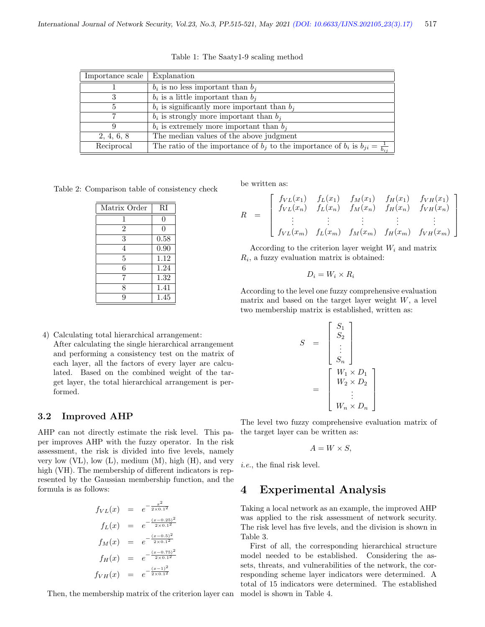| Importance scale | Explanation                                                                                    |
|------------------|------------------------------------------------------------------------------------------------|
|                  | $b_i$ is no less important than $b_i$                                                          |
| 3                | $b_i$ is a little important than $b_i$                                                         |
| 5                | $b_i$ is significantly more important than $b_i$                                               |
|                  | $b_i$ is strongly more important than $b_i$                                                    |
| 9                | $\overline{b_i}$ is extremely more important than $b_i$                                        |
| 2, 4, 6, 8       | The median values of the above judgment                                                        |
| Reciprocal       | The ratio of the importance of $b_j$ to the importance of $b_i$ is $b_{ji} = \frac{1}{b_{ij}}$ |

Table 1: The Saaty1-9 scaling method

Table 2: Comparison table of consistency check

| Matrix Order   | RI   |
|----------------|------|
|                | 0    |
| $\overline{2}$ | 0    |
| 3              | 0.58 |
| 4              | 0.90 |
| 5              | 1.12 |
| 6              | 1.24 |
| 7              | 1.32 |
| 8              | 1.41 |
| q              | 1.45 |

4) Calculating total hierarchical arrangement: After calculating the single hierarchical arrangement and performing a consistency test on the matrix of each layer, all the factors of every layer are calculated. Based on the combined weight of the target layer, the total hierarchical arrangement is performed.

#### 3.2 Improved AHP

AHP can not directly estimate the risk level. This paper improves AHP with the fuzzy operator. In the risk assessment, the risk is divided into five levels, namely very low  $(VL)$ , low  $(L)$ , medium  $(M)$ , high  $(H)$ , and very high (VH). The membership of different indicators is represented by the Gaussian membership function, and the formula is as follows:

$$
f_{VL}(x) = e^{-\frac{x^2}{2 \times 0.1^2}}
$$
  
\n
$$
f_L(x) = e^{-\frac{(x - 0.25)^2}{2 \times 0.1^2}}
$$
  
\n
$$
f_M(x) = e^{-\frac{(x - 0.5)^2}{2 \times 0.1^2}}
$$
  
\n
$$
f_H(x) = e^{-\frac{(x - 0.75)^2}{2 \times 0.1^2}}
$$
  
\n
$$
f_{VH}(x) = e^{-\frac{(x - 1)^2}{2 \times 0.1^2}}
$$

Then, the membership matrix of the criterion layer can

be written as:

$$
R = \begin{bmatrix} f_{VL}(x_1) & f_L(x_1) & f_M(x_1) & f_H(x_1) & f_{VH}(x_1) \\ f_{VL}(x_n) & f_L(x_n) & f_M(x_n) & f_H(x_n) & f_{VH}(x_n) \\ \vdots & \vdots & \vdots & \vdots & \vdots \\ f_{VL}(x_m) & f_L(x_m) & f_M(x_m) & f_H(x_m) & f_{VH}(x_m) \end{bmatrix}
$$

According to the criterion layer weight  $W_i$  and matrix  $R_i$ , a fuzzy evaluation matrix is obtained:

$$
D_i = W_i \times R_i
$$

According to the level one fuzzy comprehensive evaluation matrix and based on the target layer weight  $W$ , a level two membership matrix is established, written as:

$$
S = \begin{bmatrix} S_1 \\ S_2 \\ \vdots \\ S_n \end{bmatrix}
$$

$$
= \begin{bmatrix} W_1 \times D_1 \\ W_2 \times D_2 \\ \vdots \\ W_n \times D_n \end{bmatrix}
$$

The level two fuzzy comprehensive evaluation matrix of the target layer can be written as:

$$
A = W \times S,
$$

i.e., the final risk level.

## 4 Experimental Analysis

Taking a local network as an example, the improved AHP was applied to the risk assessment of network security. The risk level has five levels, and the division is shown in Table 3.

First of all, the corresponding hierarchical structure model needed to be established. Considering the assets, threats, and vulnerabilities of the network, the corresponding scheme layer indicators were determined. A total of 15 indicators were determined. The established model is shown in Table 4.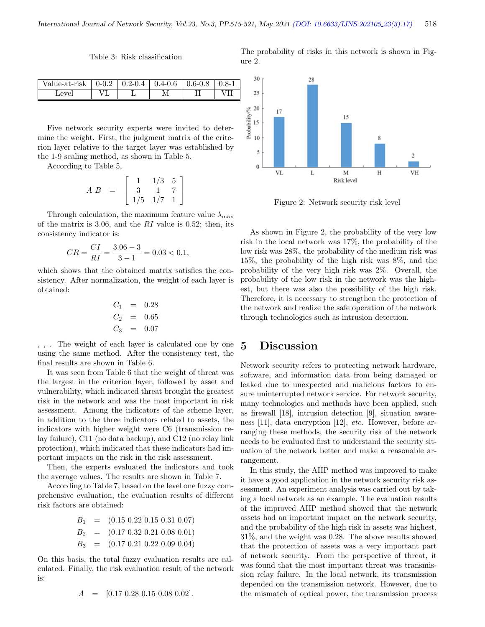Table 3: Risk classification

The probability of risks in this network is shown in Figure 2.

| Value-at-rısk | U-U.Z | .2-U.4 | .4-U.O | 0.6-0.8 |  |
|---------------|-------|--------|--------|---------|--|
| Level         |       |        |        |         |  |
|               |       |        |        |         |  |

Five network security experts were invited to determine the weight. First, the judgment matrix of the criterion layer relative to the target layer was established by the 1-9 scaling method, as shown in Table 5.

According to Table 5,

$$
A.B = \left[ \begin{array}{rrr} 1 & 1/3 & 5 \\ 3 & 1 & 7 \\ 1/5 & 1/7 & 1 \end{array} \right]
$$

Through calculation, the maximum feature value  $\lambda_{\text{max}}$ of the matrix is 3.06, and the  $RI$  value is 0.52; then, its consistency indicator is:

$$
CR = \frac{CI}{RI} = \frac{3.06 - 3}{3 - 1} = 0.03 < 0.1,
$$

which shows that the obtained matrix satisfies the consistency. After normalization, the weight of each layer is obtained:

$$
C_1 = 0.28
$$
  
\n
$$
C_2 = 0.65
$$
  
\n
$$
C_3 = 0.07
$$

, , . The weight of each layer is calculated one by one using the same method. After the consistency test, the final results are shown in Table 6.

It was seen from Table 6 that the weight of threat was the largest in the criterion layer, followed by asset and vulnerability, which indicated threat brought the greatest risk in the network and was the most important in risk assessment. Among the indicators of the scheme layer, in addition to the three indicators related to assets, the indicators with higher weight were C6 (transmission relay failure), C11 (no data backup), and C12 (no relay link protection), which indicated that these indicators had important impacts on the risk in the risk assessment.

Then, the experts evaluated the indicators and took the average values. The results are shown in Table 7.

According to Table 7, based on the level one fuzzy comprehensive evaluation, the evaluation results of different risk factors are obtained:

$$
B_1 = (0.15 \t0.22 \t0.15 \t0.31 \t0.07)
$$
  
\n
$$
B_2 = (0.17 \t0.32 \t0.21 \t0.08 \t0.01)
$$
  
\n
$$
B_3 = (0.17 \t0.21 \t0.22 \t0.09 \t0.04)
$$

On this basis, the total fuzzy evaluation results are calculated. Finally, the risk evaluation result of the network is:

$$
A = [0.17 \; 0.28 \; 0.15 \; 0.08 \; 0.02].
$$



Figure 2: Network security risk level

As shown in Figure 2, the probability of the very low risk in the local network was 17%, the probability of the low risk was 28%, the probability of the medium risk was 15%, the probability of the high risk was 8%, and the probability of the very high risk was 2%. Overall, the probability of the low risk in the network was the highest, but there was also the possibility of the high risk. Therefore, it is necessary to strengthen the protection of the network and realize the safe operation of the network through technologies such as intrusion detection.

## 5 Discussion

Network security refers to protecting network hardware, software, and information data from being damaged or leaked due to unexpected and malicious factors to ensure uninterrupted network service. For network security, many technologies and methods have been applied, such as firewall [18], intrusion detection [9], situation awareness [11], data encryption [12], etc. However, before arranging these methods, the security risk of the network needs to be evaluated first to understand the security situation of the network better and make a reasonable arrangement.

In this study, the AHP method was improved to make it have a good application in the network security risk assessment. An experiment analysis was carried out by taking a local network as an example. The evaluation results of the improved AHP method showed that the network assets had an important impact on the network security, and the probability of the high risk in assets was highest, 31%, and the weight was 0.28. The above results showed that the protection of assets was a very important part of network security. From the perspective of threat, it was found that the most important threat was transmission relay failure. In the local network, its transmission depended on the transmission network. However, due to the mismatch of optical power, the transmission process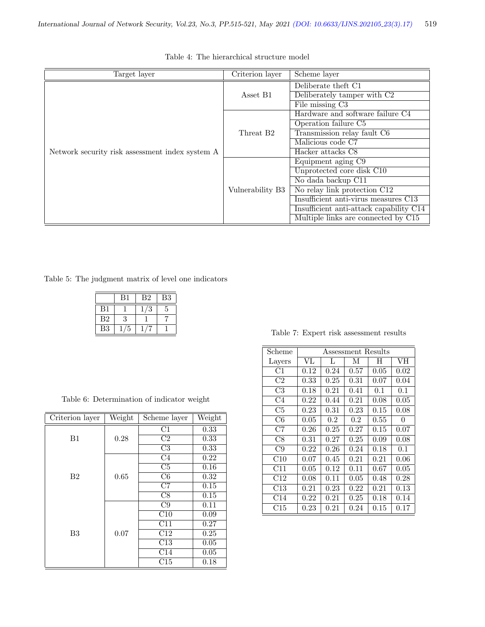| Target layer                                    | Criterion layer       | Scheme layer                            |
|-------------------------------------------------|-----------------------|-----------------------------------------|
|                                                 |                       | Deliberate theft C1                     |
|                                                 | Asset B1              | Deliberately tamper with C2             |
|                                                 |                       | $\overline{\text{File missing}}$ C3     |
|                                                 |                       | Hardware and software failure C4        |
|                                                 |                       | Operation failure C5                    |
|                                                 | Threat B <sub>2</sub> | Transmission relay fault C6             |
|                                                 |                       | Malicious code C7                       |
| Network security risk assessment index system A |                       | Hacker attacks C8                       |
|                                                 | Vulnerability B3      | Equipment aging C9                      |
|                                                 |                       | Unprotected core disk C10               |
|                                                 |                       | No dada backup C11                      |
|                                                 |                       | No relay link protection C12            |
|                                                 |                       | Insufficient anti-virus measures C13    |
|                                                 |                       | Insufficient anti-attack capability C14 |
|                                                 |                       | Multiple links are connected by C15     |

Table 4: The hierarchical structure model

Table 5: The judgment matrix of level one indicators

|                | B1 | B2 | B3 |
|----------------|----|----|----|
| B1             |    | 3  | 5  |
| B <sub>2</sub> | З  |    |    |
| B <sub>3</sub> |    |    |    |

|  |  | Table 6: Determination of indicator weight |  |  |
|--|--|--------------------------------------------|--|--|
|--|--|--------------------------------------------|--|--|

| Criterion layer | Weight | Scheme layer             | Weight            |
|-----------------|--------|--------------------------|-------------------|
|                 |        | C1                       | 0.33              |
| B1              | 0.28   | $\overline{C2}$          | 0.33              |
|                 |        | C3                       | 0.33              |
|                 |        | C4                       | 0.22              |
|                 |        | $\overline{\text{C5}}$   | $\overline{0.16}$ |
| B <sub>2</sub>  | 0.65   | $\overline{\mathrm{C6}}$ | 0.32              |
|                 |        | C7                       | 0.15              |
|                 |        | C8                       | 0.15              |
|                 |        | C9                       | 0.11              |
|                 |        | $\overline{\text{C}10}$  | 0.09              |
|                 |        | C11                      | 0.27              |
| B <sub>3</sub>  | 0.07   | C12                      | $\overline{0.25}$ |
|                 |        | C13                      | 0.05              |
|                 |        | C14                      | 0.05              |
|                 |        | C15                      | 0.18              |

Table 7: Expert risk assessment results

| Scheme         | Assessment Results |      |      |      |          |  |
|----------------|--------------------|------|------|------|----------|--|
| Layers         | VL                 | L    | М    | H    | VH       |  |
| C1             | 0.12               | 0.24 | 0.57 | 0.05 | 0.02     |  |
| C <sub>2</sub> | 0.33               | 0.25 | 0.31 | 0.07 | 0.04     |  |
| C3             | 0.18               | 0.21 | 0.41 | 0.1  | 0.1      |  |
| C4             | 0.22               | 0.44 | 0.21 | 0.08 | $0.05\,$ |  |
| C5             | 0.23               | 0.31 | 0.23 | 0.15 | 0.08     |  |
| C6             | 0.05               | 0.2  | 0.2  | 0.55 | 0        |  |
| C7             | 0.26               | 0.25 | 0.27 | 0.15 | 0.07     |  |
| C8             | 0.31               | 0.27 | 0.25 | 0.09 | 0.08     |  |
| C9             | 0.22               | 0.26 | 0.24 | 0.18 | 0.1      |  |
| C10            | 0.07               | 0.45 | 0.21 | 0.21 | 0.06     |  |
| C11            | 0.05               | 0.12 | 0.11 | 0.67 | $0.05\,$ |  |
| C12            | 0.08               | 0.11 | 0.05 | 0.48 | 0.28     |  |
| $\rm C13$      | 0.21               | 0.23 | 0.22 | 0.21 | $0.13\,$ |  |
| C14            | 0.22               | 0.21 | 0.25 | 0.18 | 0.14     |  |
| $\rm C15$      | 0.23               | 0.21 | 0.24 | 0.15 | 0.17     |  |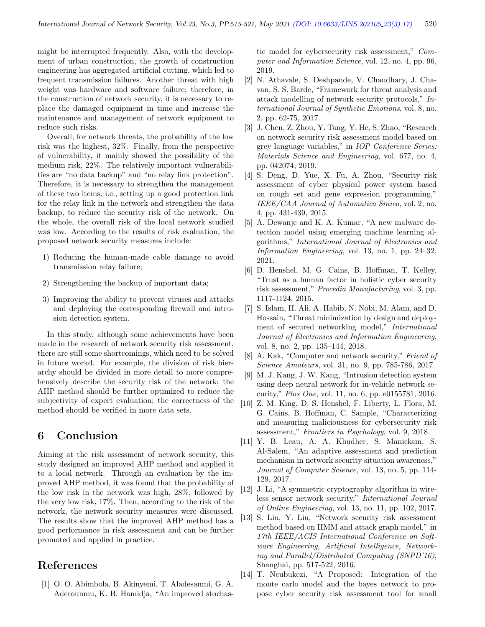might be interrupted frequently. Also, with the development of urban construction, the growth of construction engineering has aggregated artificial cutting, which led to frequent transmission failures. Another threat with high weight was hardware and software failure; therefore, in the construction of network security, it is necessary to replace the damaged equipment in time and increase the maintenance and management of network equipment to reduce such risks.

Overall, for network threats, the probability of the low risk was the highest, 32%. Finally, from the perspective of vulnerability, it mainly showed the possibility of the medium risk, 22%. The relatively important vulnerabilities are "no data backup" and "no relay link protection". Therefore, it is necessary to strengthen the management of these two items, i.e., setting up a good protection link for the relay link in the network and strengthen the data backup, to reduce the security risk of the network. On the whole, the overall risk of the local network studied was low. According to the results of risk evaluation, the proposed network security measures include:

- 1) Reducing the human-made cable damage to avoid transmission relay failure;
- 2) Strengthening the backup of important data;
- 3) Improving the ability to prevent viruses and attacks and deploying the corresponding firewall and intrusion detection system.

In this study, although some achievements have been made in the research of network security risk assessment, there are still some shortcomings, which need to be solved in future workd. For example, the division of risk hierarchy should be divided in more detail to more comprehensively describe the security risk of the network; the AHP method should be further optimized to reduce the subjectivity of expert evaluation; the correctness of the method should be verified in more data sets.

## 6 Conclusion

Aiming at the risk assessment of network security, this study designed an improved AHP method and applied it to a local network. Through an evaluation by the improved AHP method, it was found that the probability of the low risk in the network was high, 28%, followed by the very low risk, 17%. Then, according to the risk of the network, the network security measures were discussed. The results show that the improved AHP method has a good performance in risk assessment and can be further promoted and applied in practice.

## References

[1] O. O. Abimbola, B. Akinyemi, T. Aladesanmi, G. A. Aderounmu, K. B. Hamidja, "An improved stochastic model for cybersecurity risk assessment," Computer and Information Science, vol. 12, no. 4, pp. 96, 2019.

- [2] N. Athavale, S. Deshpande, V. Chaudhary, J. Chavan, S. S. Barde, "Framework for threat analysis and attack modelling of network security protocols," International Journal of Synthetic Emotions, vol. 8, no. 2, pp. 62-75, 2017.
- [3] J. Chen, Z. Zhou, Y. Tang, Y. He, S. Zhao, "Research on network security risk assessment model based on grey language variables," in IOP Conference Series: Materials Science and Engineering, vol. 677, no. 4, pp. 042074, 2019.
- [4] S. Deng, D. Yue, X. Fu, A. Zhou, "Security risk assessment of cyber physical power system based on rough set and gene expression programming," IEEE/CAA Journal of Automatica Sinica, vol. 2, no. 4, pp. 431-439, 2015.
- [5] A. Dewanje and K. A. Kumar, "A new malware detection model using emerging machine learning algorithms," International Journal of Electronics and Information Engineering, vol. 13, no. 1, pp. 24–32, 2021.
- [6] D. Henshel, M. G. Cains, B. Hoffman, T. Kelley, "Trust as a human factor in holistic cyber security risk assessment," Procedia Manufacturing, vol. 3, pp. 1117-1124, 2015.
- [7] S. Islam, H. Ali, A. Habib, N. Nobi, M. Alam, and D. Hossain, "Threat minimization by design and deployment of secured networking model," International Journal of Electronics and Information Engineering, vol. 8, no. 2, pp. 135–144, 2018.
- [8] A. Kak, "Computer and network security," Friend of Science Amateurs, vol. 31, no. 9, pp. 785-786, 2017.
- [9] M. J. Kang, J. W. Kang, "Intrusion detection system using deep neural network for in-vehicle network security," Plos One, vol. 11, no. 6, pp. e0155781, 2016.
- [10] Z. M. King, D. S. Henshel, F. Liberty, L. Flora, M. G. Cains, B. Hoffman, C. Sample, "Characterizing and measuring maliciousness for cybersecurity risk assessment," Frontiers in Psychology, vol. 9, 2018.
- [11] Y. B. Leau, A. A. Khudher, S. Manickam, S. Al-Salem, "An adaptive assessment and prediction mechanism in network security situation awareness," Journal of Computer Science, vol. 13, no. 5, pp. 114- 129, 2017.
- [12] J. Li, "A symmetric cryptography algorithm in wireless sensor network security," International Journal of Online Engineering, vol. 13, no. 11, pp. 102, 2017.
- [13] S. Liu, Y. Liu, "Network security risk assessment method based on HMM and attack graph model," in 17th IEEE/ACIS International Conference on Software Engineering, Artificial Intelligence, Networking and Parallel/Distributed Computing (SNPD'16), Shanghai, pp. 517-522, 2016.
- [14] T. Ncubukezi, "A Proposed: Integration of the monte carlo model and the bayes network to propose cyber security risk assessment tool for small